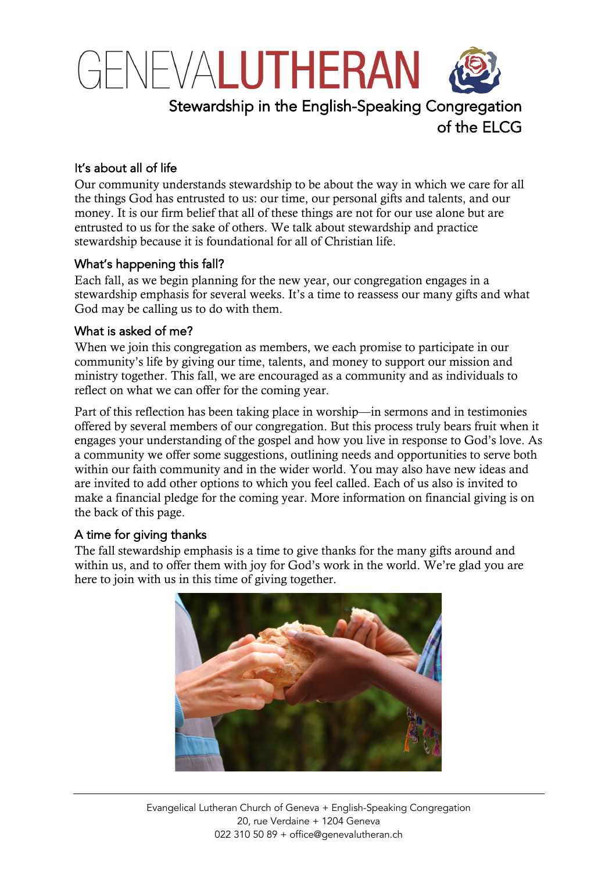

of the ELCG

It's about all of life

Our community understands stewardship to be about the way in which we care for all the things God has entrusted to us: our time, our personal gifts and talents, and our money. It is our firm belief that all of these things are not for our use alone but are entrusted to us for the sake of others. We talk about stewardship and practice stewardship because it is foundational for all of Christian life.

## What's happening this fall?

Each fall, as we begin planning for the new year, our congregation engages in a stewardship emphasis for several weeks. It's a time to reassess our many gifts and what God may be calling us to do with them.

## What is asked of me?

When we join this congregation as members, we each promise to participate in our community's life by giving our time, talents, and money to support our mission and ministry together. This fall, we are encouraged as a community and as individuals to reflect on what we can offer for the coming year.

Part of this reflection has been taking place in worship—in sermons and in testimonies offered by several members of our congregation. But this process truly bears fruit when it engages your understanding of the gospel and how you live in response to God's love. As a community we offer some suggestions, outlining needs and opportunities to serve both within our faith community and in the wider world. You may also have new ideas and are invited to add other options to which you feel called. Each of us also is invited to make a financial pledge for the coming year. More information on financial giving is on the back of this page.

## A time for giving thanks

The fall stewardship emphasis is a time to give thanks for the many gifts around and within us, and to offer them with joy for God's work in the world. We're glad you are here to join with us in this time of giving together.